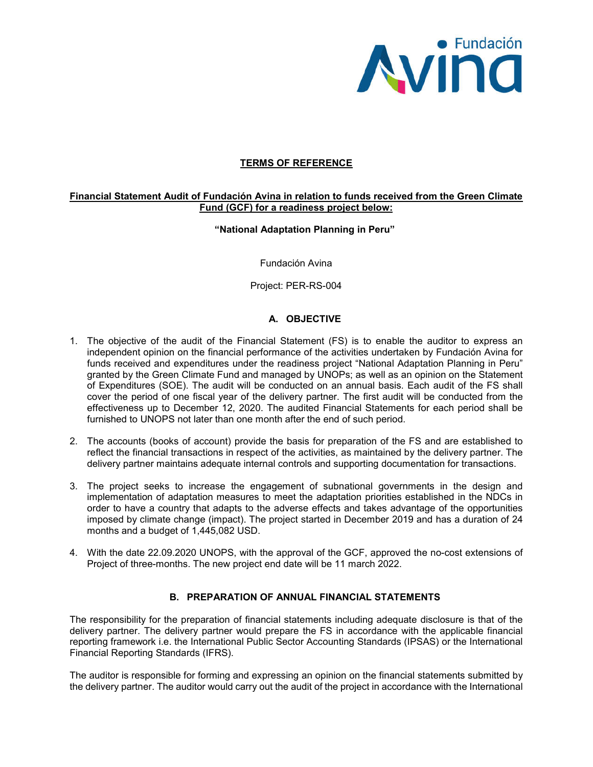

## **TERMS OF REFERENCE**

#### **Financial Statement Audit of Fundación Avina in relation to funds received from the Green Climate Fund (GCF) for a readiness project below:**

#### **"National Adaptation Planning in Peru"**

Fundación Avina

Project: PER-RS-004

# **A. OBJECTIVE**

- 1. The objective of the audit of the Financial Statement (FS) is to enable the auditor to express an independent opinion on the financial performance of the activities undertaken by Fundación Avina for funds received and expenditures under the readiness project "National Adaptation Planning in Peru" granted by the Green Climate Fund and managed by UNOPs; as well as an opinion on the Statement of Expenditures (SOE). The audit will be conducted on an annual basis. Each audit of the FS shall cover the period of one fiscal year of the delivery partner. The first audit will be conducted from the effectiveness up to December 12, 2020. The audited Financial Statements for each period shall be furnished to UNOPS not later than one month after the end of such period.
- 2. The accounts (books of account) provide the basis for preparation of the FS and are established to reflect the financial transactions in respect of the activities, as maintained by the delivery partner. The delivery partner maintains adequate internal controls and supporting documentation for transactions.
- 3. The project seeks to increase the engagement of subnational governments in the design and implementation of adaptation measures to meet the adaptation priorities established in the NDCs in order to have a country that adapts to the adverse effects and takes advantage of the opportunities imposed by climate change (impact). The project started in December 2019 and has a duration of 24 months and a budget of 1,445,082 USD.
- 4. With the date 22.09.2020 UNOPS, with the approval of the GCF, approved the no-cost extensions of Project of three-months. The new project end date will be 11 march 2022.

## **B. PREPARATION OF ANNUAL FINANCIAL STATEMENTS**

The responsibility for the preparation of financial statements including adequate disclosure is that of the delivery partner. The delivery partner would prepare the FS in accordance with the applicable financial reporting framework i.e. the International Public Sector Accounting Standards (IPSAS) or the International Financial Reporting Standards (IFRS).

The auditor is responsible for forming and expressing an opinion on the financial statements submitted by the delivery partner. The auditor would carry out the audit of the project in accordance with the International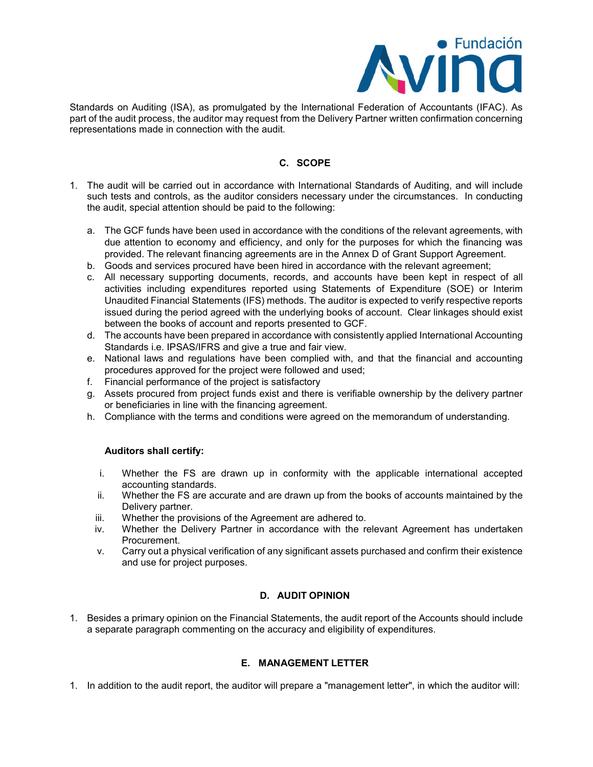

Standards on Auditing (ISA), as promulgated by the International Federation of Accountants (IFAC). As part of the audit process, the auditor may request from the Delivery Partner written confirmation concerning representations made in connection with the audit.

## **C. SCOPE**

- 1. The audit will be carried out in accordance with International Standards of Auditing, and will include such tests and controls, as the auditor considers necessary under the circumstances. In conducting the audit, special attention should be paid to the following:
	- a. The GCF funds have been used in accordance with the conditions of the relevant agreements, with due attention to economy and efficiency, and only for the purposes for which the financing was provided. The relevant financing agreements are in the Annex D of Grant Support Agreement.
	- b. Goods and services procured have been hired in accordance with the relevant agreement;
	- c. All necessary supporting documents, records, and accounts have been kept in respect of all activities including expenditures reported using Statements of Expenditure (SOE) or Interim Unaudited Financial Statements (IFS) methods. The auditor is expected to verify respective reports issued during the period agreed with the underlying books of account. Clear linkages should exist between the books of account and reports presented to GCF.
	- d. The accounts have been prepared in accordance with consistently applied International Accounting Standards i.e. IPSAS/IFRS and give a true and fair view.
	- e. National laws and regulations have been complied with, and that the financial and accounting procedures approved for the project were followed and used;
	- f. Financial performance of the project is satisfactory
	- g. Assets procured from project funds exist and there is verifiable ownership by the delivery partner or beneficiaries in line with the financing agreement.
	- h. Compliance with the terms and conditions were agreed on the memorandum of understanding.

## **Auditors shall certify:**

- i. Whether the FS are drawn up in conformity with the applicable international accepted accounting standards.
- ii. Whether the FS are accurate and are drawn up from the books of accounts maintained by the Delivery partner.
- iii. Whether the provisions of the Agreement are adhered to.
- iv. Whether the Delivery Partner in accordance with the relevant Agreement has undertaken Procurement.
- v. Carry out a physical verification of any significant assets purchased and confirm their existence and use for project purposes.

## **D. AUDIT OPINION**

1. Besides a primary opinion on the Financial Statements, the audit report of the Accounts should include a separate paragraph commenting on the accuracy and eligibility of expenditures.

## **E. MANAGEMENT LETTER**

1. In addition to the audit report, the auditor will prepare a "management letter", in which the auditor will: